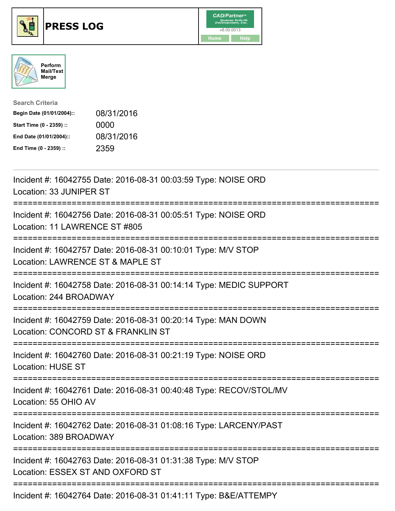





| <b>Search Criteria</b>    |            |
|---------------------------|------------|
| Begin Date (01/01/2004):: | 08/31/2016 |
| Start Time (0 - 2359) ::  | 0000       |
| End Date (01/01/2004)::   | 08/31/2016 |
| End Time (0 - 2359) ::    | 2359       |

| Incident #: 16042755 Date: 2016-08-31 00:03:59 Type: NOISE ORD<br>Location: 33 JUNIPER ST           |
|-----------------------------------------------------------------------------------------------------|
| Incident #: 16042756 Date: 2016-08-31 00:05:51 Type: NOISE ORD<br>Location: 11 LAWRENCE ST #805     |
| Incident #: 16042757 Date: 2016-08-31 00:10:01 Type: M/V STOP<br>Location: LAWRENCE ST & MAPLE ST   |
| Incident #: 16042758 Date: 2016-08-31 00:14:14 Type: MEDIC SUPPORT<br>Location: 244 BROADWAY        |
| Incident #: 16042759 Date: 2016-08-31 00:20:14 Type: MAN DOWN<br>Location: CONCORD ST & FRANKLIN ST |
| Incident #: 16042760 Date: 2016-08-31 00:21:19 Type: NOISE ORD<br><b>Location: HUSE ST</b>          |
| Incident #: 16042761 Date: 2016-08-31 00:40:48 Type: RECOV/STOL/MV<br>Location: 55 OHIO AV          |
| Incident #: 16042762 Date: 2016-08-31 01:08:16 Type: LARCENY/PAST<br>Location: 389 BROADWAY         |
| Incident #: 16042763 Date: 2016-08-31 01:31:38 Type: M/V STOP<br>Location: ESSEX ST AND OXFORD ST   |
| Incident #: 16042764 Date: 2016-08-31 01:41:11 Type: B&E/ATTEMPY                                    |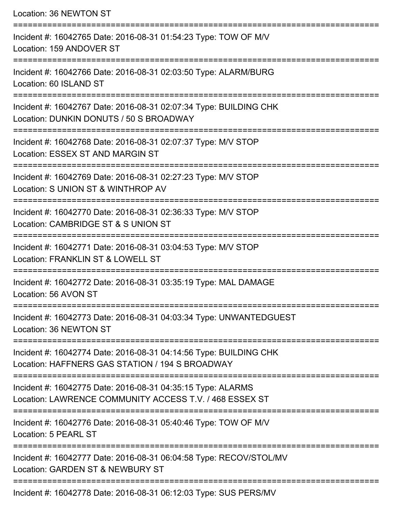Location: 36 NEWTON ST =========================================================================== Incident #: 16042765 Date: 2016-08-31 01:54:23 Type: TOW OF M/V Location: 159 ANDOVER ST =========================================================================== Incident #: 16042766 Date: 2016-08-31 02:03:50 Type: ALARM/BURG Location: 60 ISLAND ST =========================================================================== Incident #: 16042767 Date: 2016-08-31 02:07:34 Type: BUILDING CHK Location: DUNKIN DONUTS / 50 S BROADWAY =========================================================================== Incident #: 16042768 Date: 2016-08-31 02:07:37 Type: M/V STOP Location: ESSEX ST AND MARGIN ST =========================================================================== Incident #: 16042769 Date: 2016-08-31 02:27:23 Type: M/V STOP Location: S UNION ST & WINTHROP AV =========================================================================== Incident #: 16042770 Date: 2016-08-31 02:36:33 Type: M/V STOP Location: CAMBRIDGE ST & S UNION ST =========================================================================== Incident #: 16042771 Date: 2016-08-31 03:04:53 Type: M/V STOP Location: FRANKLIN ST & LOWELL ST =========================================================================== Incident #: 16042772 Date: 2016-08-31 03:35:19 Type: MAL DAMAGE Location: 56 AVON ST =========================================================================== Incident #: 16042773 Date: 2016-08-31 04:03:34 Type: UNWANTEDGUEST Location: 36 NEWTON ST =========================================================================== Incident #: 16042774 Date: 2016-08-31 04:14:56 Type: BUILDING CHK Location: HAFFNERS GAS STATION / 194 S BROADWAY =========================================================================== Incident #: 16042775 Date: 2016-08-31 04:35:15 Type: ALARMS Location: LAWRENCE COMMUNITY ACCESS T.V. / 468 ESSEX ST =========================================================================== Incident #: 16042776 Date: 2016-08-31 05:40:46 Type: TOW OF M/V Location: 5 PEARL ST =========================================================================== Incident #: 16042777 Date: 2016-08-31 06:04:58 Type: RECOV/STOL/MV Location: GARDEN ST & NEWBURY ST =========================================================================== Incident #: 16042778 Date: 2016-08-31 06:12:03 Type: SUS PERS/MV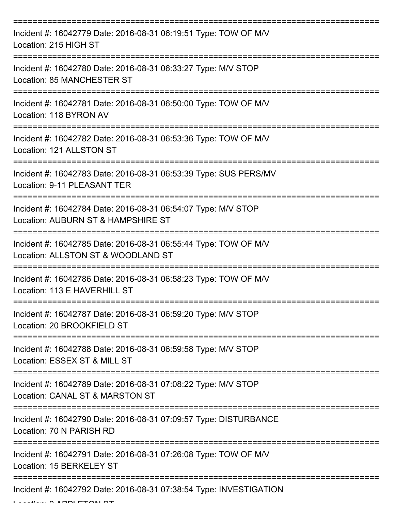| Incident #: 16042779 Date: 2016-08-31 06:19:51 Type: TOW OF M/V<br>Location: 215 HIGH ST              |
|-------------------------------------------------------------------------------------------------------|
| Incident #: 16042780 Date: 2016-08-31 06:33:27 Type: M/V STOP<br>Location: 85 MANCHESTER ST           |
| Incident #: 16042781 Date: 2016-08-31 06:50:00 Type: TOW OF M/V<br>Location: 118 BYRON AV             |
| Incident #: 16042782 Date: 2016-08-31 06:53:36 Type: TOW OF M/V<br>Location: 121 ALLSTON ST           |
| Incident #: 16042783 Date: 2016-08-31 06:53:39 Type: SUS PERS/MV<br>Location: 9-11 PLEASANT TER       |
| Incident #: 16042784 Date: 2016-08-31 06:54:07 Type: M/V STOP<br>Location: AUBURN ST & HAMPSHIRE ST   |
| Incident #: 16042785 Date: 2016-08-31 06:55:44 Type: TOW OF M/V<br>Location: ALLSTON ST & WOODLAND ST |
| Incident #: 16042786 Date: 2016-08-31 06:58:23 Type: TOW OF M/V<br>Location: 113 E HAVERHILL ST       |
| Incident #: 16042787 Date: 2016-08-31 06:59:20 Type: M/V STOP<br>Location: 20 BROOKFIELD ST           |
| Incident #: 16042788 Date: 2016-08-31 06:59:58 Type: M/V STOP<br>Location: ESSEX ST & MILL ST         |
| Incident #: 16042789 Date: 2016-08-31 07:08:22 Type: M/V STOP<br>Location: CANAL ST & MARSTON ST      |
| Incident #: 16042790 Date: 2016-08-31 07:09:57 Type: DISTURBANCE<br>Location: 70 N PARISH RD          |
| Incident #: 16042791 Date: 2016-08-31 07:26:08 Type: TOW OF M/V<br>Location: 15 BERKELEY ST           |
| Incident #: 16042792 Date: 2016-08-31 07:38:54 Type: INVESTIGATION                                    |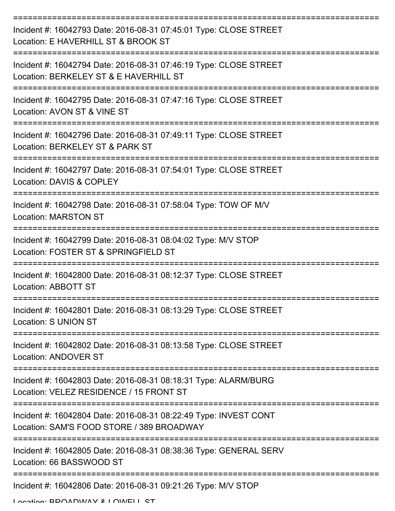| Incident #: 16042793 Date: 2016-08-31 07:45:01 Type: CLOSE STREET<br>Location: E HAVERHILL ST & BROOK ST      |
|---------------------------------------------------------------------------------------------------------------|
| Incident #: 16042794 Date: 2016-08-31 07:46:19 Type: CLOSE STREET<br>Location: BERKELEY ST & E HAVERHILL ST   |
| Incident #: 16042795 Date: 2016-08-31 07:47:16 Type: CLOSE STREET<br>Location: AVON ST & VINE ST              |
| Incident #: 16042796 Date: 2016-08-31 07:49:11 Type: CLOSE STREET<br>Location: BERKELEY ST & PARK ST          |
| Incident #: 16042797 Date: 2016-08-31 07:54:01 Type: CLOSE STREET<br>Location: DAVIS & COPLEY                 |
| Incident #: 16042798 Date: 2016-08-31 07:58:04 Type: TOW OF M/V<br><b>Location: MARSTON ST</b>                |
| Incident #: 16042799 Date: 2016-08-31 08:04:02 Type: M/V STOP<br>Location: FOSTER ST & SPRINGFIELD ST         |
| Incident #: 16042800 Date: 2016-08-31 08:12:37 Type: CLOSE STREET<br>Location: ABBOTT ST                      |
| Incident #: 16042801 Date: 2016-08-31 08:13:29 Type: CLOSE STREET<br>Location: S UNION ST                     |
| Incident #: 16042802 Date: 2016-08-31 08:13:58 Type: CLOSE STREET<br><b>Location: ANDOVER ST</b>              |
| Incident #: 16042803 Date: 2016-08-31 08:18:31 Type: ALARM/BURG<br>Location: VELEZ RESIDENCE / 15 FRONT ST    |
| Incident #: 16042804 Date: 2016-08-31 08:22:49 Type: INVEST CONT<br>Location: SAM'S FOOD STORE / 389 BROADWAY |
| Incident #: 16042805 Date: 2016-08-31 08:38:36 Type: GENERAL SERV<br>Location: 66 BASSWOOD ST                 |
| Incident #: 16042806 Date: 2016-08-31 09:21:26 Type: M/V STOP                                                 |

Location: BROADWAY & LOWELL ST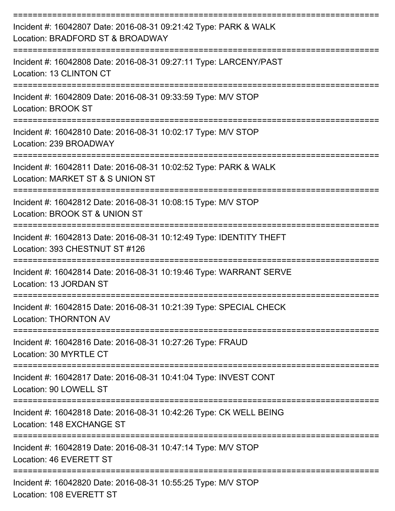| Incident #: 16042807 Date: 2016-08-31 09:21:42 Type: PARK & WALK<br>Location: BRADFORD ST & BROADWAY     |
|----------------------------------------------------------------------------------------------------------|
| Incident #: 16042808 Date: 2016-08-31 09:27:11 Type: LARCENY/PAST<br>Location: 13 CLINTON CT             |
| Incident #: 16042809 Date: 2016-08-31 09:33:59 Type: M/V STOP<br>Location: BROOK ST                      |
| Incident #: 16042810 Date: 2016-08-31 10:02:17 Type: M/V STOP<br>Location: 239 BROADWAY                  |
| Incident #: 16042811 Date: 2016-08-31 10:02:52 Type: PARK & WALK<br>Location: MARKET ST & S UNION ST     |
| Incident #: 16042812 Date: 2016-08-31 10:08:15 Type: M/V STOP<br>Location: BROOK ST & UNION ST           |
| Incident #: 16042813 Date: 2016-08-31 10:12:49 Type: IDENTITY THEFT<br>Location: 393 CHESTNUT ST #126    |
| Incident #: 16042814 Date: 2016-08-31 10:19:46 Type: WARRANT SERVE<br>Location: 13 JORDAN ST             |
| Incident #: 16042815 Date: 2016-08-31 10:21:39 Type: SPECIAL CHECK<br><b>Location: THORNTON AV</b>       |
| ----------------<br>Incident #: 16042816 Date: 2016-08-31 10:27:26 Type: FRAUD<br>Location: 30 MYRTLE CT |
| Incident #: 16042817 Date: 2016-08-31 10:41:04 Type: INVEST CONT<br>Location: 90 LOWELL ST               |
| Incident #: 16042818 Date: 2016-08-31 10:42:26 Type: CK WELL BEING<br>Location: 148 EXCHANGE ST          |
| Incident #: 16042819 Date: 2016-08-31 10:47:14 Type: M/V STOP<br>Location: 46 EVERETT ST                 |
| Incident #: 16042820 Date: 2016-08-31 10:55:25 Type: M/V STOP<br>Location: 108 EVERETT ST                |

Location: 108 EVERETT ST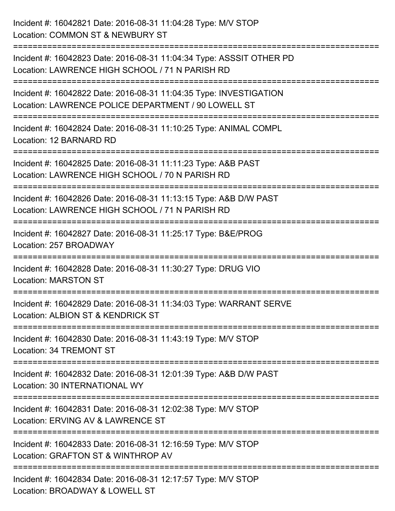Incident #: 16042821 Date: 2016-08-31 11:04:28 Type: M/V STOP Location: COMMON ST & NEWBURY ST =========================================================================== Incident #: 16042823 Date: 2016-08-31 11:04:34 Type: ASSSIT OTHER PD Location: LAWRENCE HIGH SCHOOL / 71 N PARISH RD =========================================================================== Incident #: 16042822 Date: 2016-08-31 11:04:35 Type: INVESTIGATION Location: LAWRENCE POLICE DEPARTMENT / 90 LOWELL ST =========================================================================== Incident #: 16042824 Date: 2016-08-31 11:10:25 Type: ANIMAL COMPL Location: 12 BARNARD RD =========================================================================== Incident #: 16042825 Date: 2016-08-31 11:11:23 Type: A&B PAST Location: LAWRENCE HIGH SCHOOL / 70 N PARISH RD =========================================================================== Incident #: 16042826 Date: 2016-08-31 11:13:15 Type: A&B D/W PAST Location: LAWRENCE HIGH SCHOOL / 71 N PARISH RD =========================================================================== Incident #: 16042827 Date: 2016-08-31 11:25:17 Type: B&E/PROG Location: 257 BROADWAY =========================================================================== Incident #: 16042828 Date: 2016-08-31 11:30:27 Type: DRUG VIO Location: MARSTON ST =========================================================================== Incident #: 16042829 Date: 2016-08-31 11:34:03 Type: WARRANT SERVE Location: ALBION ST & KENDRICK ST =========================================================================== Incident #: 16042830 Date: 2016-08-31 11:43:19 Type: M/V STOP Location: 34 TREMONT ST =========================================================================== Incident #: 16042832 Date: 2016-08-31 12:01:39 Type: A&B D/W PAST Location: 30 INTERNATIONAL WY =========================================================================== Incident #: 16042831 Date: 2016-08-31 12:02:38 Type: M/V STOP Location: ERVING AV & LAWRENCE ST =========================================================================== Incident #: 16042833 Date: 2016-08-31 12:16:59 Type: M/V STOP Location: GRAFTON ST & WINTHROP AV =========================================================================== Incident #: 16042834 Date: 2016-08-31 12:17:57 Type: M/V STOP Location: BROADWAY & LOWELL ST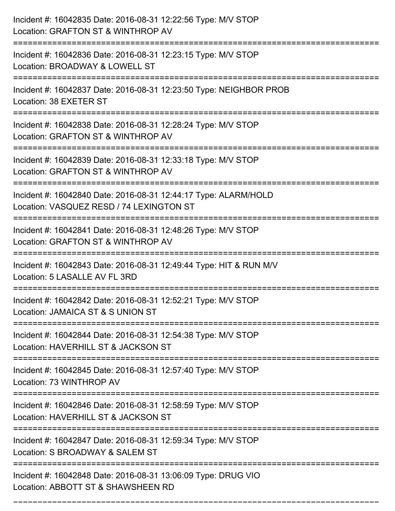| Incident #: 16042835 Date: 2016-08-31 12:22:56 Type: M/V STOP<br>Location: GRAFTON ST & WINTHROP AV                       |
|---------------------------------------------------------------------------------------------------------------------------|
| Incident #: 16042836 Date: 2016-08-31 12:23:15 Type: M/V STOP<br>Location: BROADWAY & LOWELL ST                           |
| Incident #: 16042837 Date: 2016-08-31 12:23:50 Type: NEIGHBOR PROB<br>Location: 38 EXETER ST                              |
| Incident #: 16042838 Date: 2016-08-31 12:28:24 Type: M/V STOP<br>Location: GRAFTON ST & WINTHROP AV                       |
| Incident #: 16042839 Date: 2016-08-31 12:33:18 Type: M/V STOP<br>Location: GRAFTON ST & WINTHROP AV                       |
| Incident #: 16042840 Date: 2016-08-31 12:44:17 Type: ALARM/HOLD<br>Location: VASQUEZ RESD / 74 LEXINGTON ST               |
| Incident #: 16042841 Date: 2016-08-31 12:48:26 Type: M/V STOP<br>Location: GRAFTON ST & WINTHROP AV                       |
| Incident #: 16042843 Date: 2016-08-31 12:49:44 Type: HIT & RUN M/V<br>Location: 5 LASALLE AV FL 3RD                       |
| Incident #: 16042842 Date: 2016-08-31 12:52:21 Type: M/V STOP<br>Location: JAMAICA ST & S UNION ST                        |
| Incident #: 16042844 Date: 2016-08-31 12:54:38 Type: M/V STOP<br>Location: HAVERHILL ST & JACKSON ST                      |
| ===================<br>Incident #: 16042845 Date: 2016-08-31 12:57:40 Type: M/V STOP<br>Location: 73 WINTHROP AV          |
| Incident #: 16042846 Date: 2016-08-31 12:58:59 Type: M/V STOP<br>Location: HAVERHILL ST & JACKSON ST<br>----------------- |
| Incident #: 16042847 Date: 2016-08-31 12:59:34 Type: M/V STOP<br>Location: S BROADWAY & SALEM ST                          |
| Incident #: 16042848 Date: 2016-08-31 13:06:09 Type: DRUG VIO<br>Location: ABBOTT ST & SHAWSHEEN RD                       |

===========================================================================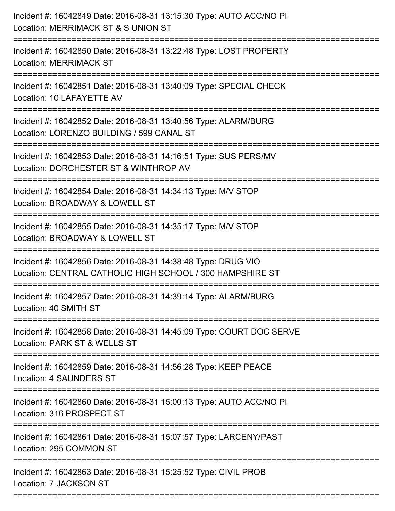| Incident #: 16042849 Date: 2016-08-31 13:15:30 Type: AUTO ACC/NO PI<br>Location: MERRIMACK ST & S UNION ST<br>:============================= |
|----------------------------------------------------------------------------------------------------------------------------------------------|
| Incident #: 16042850 Date: 2016-08-31 13:22:48 Type: LOST PROPERTY<br><b>Location: MERRIMACK ST</b>                                          |
| Incident #: 16042851 Date: 2016-08-31 13:40:09 Type: SPECIAL CHECK<br>Location: 10 LAFAYETTE AV                                              |
| Incident #: 16042852 Date: 2016-08-31 13:40:56 Type: ALARM/BURG<br>Location: LORENZO BUILDING / 599 CANAL ST                                 |
| Incident #: 16042853 Date: 2016-08-31 14:16:51 Type: SUS PERS/MV<br>Location: DORCHESTER ST & WINTHROP AV                                    |
| Incident #: 16042854 Date: 2016-08-31 14:34:13 Type: M/V STOP<br>Location: BROADWAY & LOWELL ST<br>:=====================                    |
| Incident #: 16042855 Date: 2016-08-31 14:35:17 Type: M/V STOP<br>Location: BROADWAY & LOWELL ST<br>-------------------                       |
| Incident #: 16042856 Date: 2016-08-31 14:38:48 Type: DRUG VIO<br>Location: CENTRAL CATHOLIC HIGH SCHOOL / 300 HAMPSHIRE ST                   |
| Incident #: 16042857 Date: 2016-08-31 14:39:14 Type: ALARM/BURG<br>Location: 40 SMITH ST                                                     |
| Incident #: 16042858 Date: 2016-08-31 14:45:09 Type: COURT DOC SERVE<br>Location: PARK ST & WELLS ST                                         |
| Incident #: 16042859 Date: 2016-08-31 14:56:28 Type: KEEP PEACE<br><b>Location: 4 SAUNDERS ST</b>                                            |
| Incident #: 16042860 Date: 2016-08-31 15:00:13 Type: AUTO ACC/NO PI<br>Location: 316 PROSPECT ST                                             |
| Incident #: 16042861 Date: 2016-08-31 15:07:57 Type: LARCENY/PAST<br>Location: 295 COMMON ST                                                 |
| Incident #: 16042863 Date: 2016-08-31 15:25:52 Type: CIVIL PROB<br>Location: 7 JACKSON ST                                                    |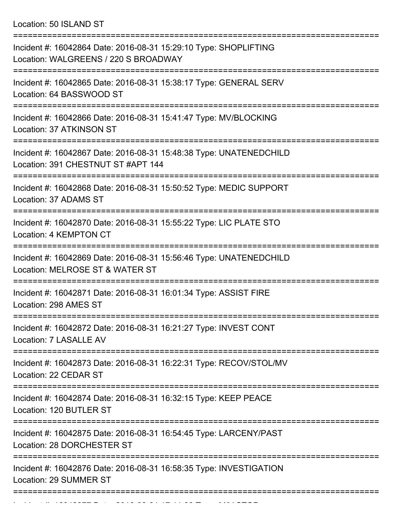Location: 50 ISLAND ST

| Incident #: 16042864 Date: 2016-08-31 15:29:10 Type: SHOPLIFTING<br>Location: WALGREENS / 220 S BROADWAY             |
|----------------------------------------------------------------------------------------------------------------------|
| Incident #: 16042865 Date: 2016-08-31 15:38:17 Type: GENERAL SERV<br>Location: 64 BASSWOOD ST                        |
| Incident #: 16042866 Date: 2016-08-31 15:41:47 Type: MV/BLOCKING<br>Location: 37 ATKINSON ST                         |
| Incident #: 16042867 Date: 2016-08-31 15:48:38 Type: UNATENEDCHILD<br>Location: 391 CHESTNUT ST #APT 144             |
| Incident #: 16042868 Date: 2016-08-31 15:50:52 Type: MEDIC SUPPORT<br>Location: 37 ADAMS ST                          |
| Incident #: 16042870 Date: 2016-08-31 15:55:22 Type: LIC PLATE STO<br>Location: 4 KEMPTON CT                         |
| Incident #: 16042869 Date: 2016-08-31 15:56:46 Type: UNATENEDCHILD<br>Location: MELROSE ST & WATER ST                |
| Incident #: 16042871 Date: 2016-08-31 16:01:34 Type: ASSIST FIRE<br>Location: 298 AMES ST                            |
| Incident #: 16042872 Date: 2016-08-31 16:21:27 Type: INVEST CONT<br>Location: 7 LASALLE AV                           |
| :====================<br>Incident #: 16042873 Date: 2016-08-31 16:22:31 Type: RECOV/STOL/MV<br>Location: 22 CEDAR ST |
| Incident #: 16042874 Date: 2016-08-31 16:32:15 Type: KEEP PEACE<br>Location: 120 BUTLER ST                           |
| Incident #: 16042875 Date: 2016-08-31 16:54:45 Type: LARCENY/PAST<br>Location: 28 DORCHESTER ST                      |
| Incident #: 16042876 Date: 2016-08-31 16:58:35 Type: INVESTIGATION<br>Location: 29 SUMMER ST                         |
|                                                                                                                      |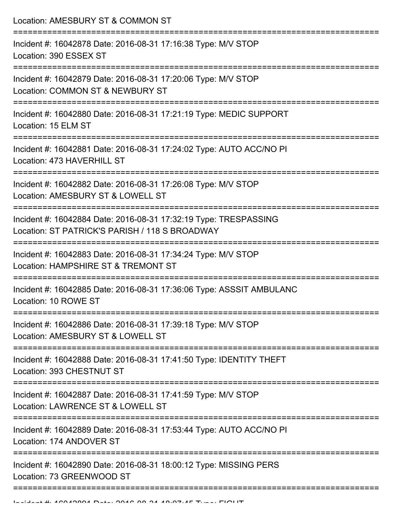Location: AMESBURY ST & COMMON ST

| Incident #: 16042878 Date: 2016-08-31 17:16:38 Type: M/V STOP<br>Location: 390 ESSEX ST                            |
|--------------------------------------------------------------------------------------------------------------------|
| Incident #: 16042879 Date: 2016-08-31 17:20:06 Type: M/V STOP<br>Location: COMMON ST & NEWBURY ST                  |
| Incident #: 16042880 Date: 2016-08-31 17:21:19 Type: MEDIC SUPPORT<br>Location: 15 ELM ST                          |
| Incident #: 16042881 Date: 2016-08-31 17:24:02 Type: AUTO ACC/NO PI<br>Location: 473 HAVERHILL ST                  |
| Incident #: 16042882 Date: 2016-08-31 17:26:08 Type: M/V STOP<br>Location: AMESBURY ST & LOWELL ST                 |
| Incident #: 16042884 Date: 2016-08-31 17:32:19 Type: TRESPASSING<br>Location: ST PATRICK'S PARISH / 118 S BROADWAY |
| Incident #: 16042883 Date: 2016-08-31 17:34:24 Type: M/V STOP<br>Location: HAMPSHIRE ST & TREMONT ST               |
| Incident #: 16042885 Date: 2016-08-31 17:36:06 Type: ASSSIT AMBULANC<br>Location: 10 ROWE ST                       |
| Incident #: 16042886 Date: 2016-08-31 17:39:18 Type: M/V STOP<br>Location: AMESBURY ST & LOWELL ST                 |
| Incident #: 16042888 Date: 2016-08-31 17:41:50 Type: IDENTITY THEFT<br>Location: 393 CHESTNUT ST                   |
| Incident #: 16042887 Date: 2016-08-31 17:41:59 Type: M/V STOP<br>Location: LAWRENCE ST & LOWELL ST                 |
| Incident #: 16042889 Date: 2016-08-31 17:53:44 Type: AUTO ACC/NO PI<br>Location: 174 ANDOVER ST                    |
| Incident #: 16042890 Date: 2016-08-31 18:00:12 Type: MISSING PERS<br>Location: 73 GREENWOOD ST                     |
|                                                                                                                    |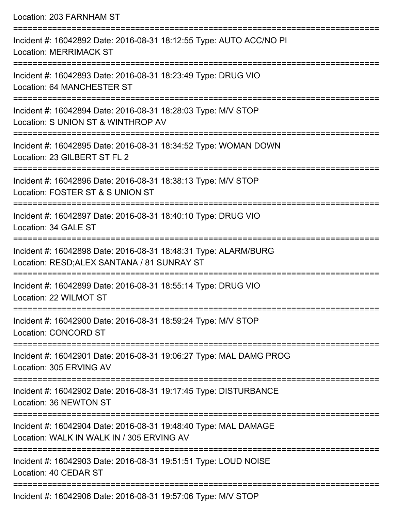| Location: 203 FARNHAM ST                                                                                                                    |
|---------------------------------------------------------------------------------------------------------------------------------------------|
| Incident #: 16042892 Date: 2016-08-31 18:12:55 Type: AUTO ACC/NO PI<br><b>Location: MERRIMACK ST</b>                                        |
| Incident #: 16042893 Date: 2016-08-31 18:23:49 Type: DRUG VIO<br>Location: 64 MANCHESTER ST                                                 |
| Incident #: 16042894 Date: 2016-08-31 18:28:03 Type: M/V STOP<br>Location: S UNION ST & WINTHROP AV<br>==================================== |
| Incident #: 16042895 Date: 2016-08-31 18:34:52 Type: WOMAN DOWN<br>Location: 23 GILBERT ST FL 2                                             |
| Incident #: 16042896 Date: 2016-08-31 18:38:13 Type: M/V STOP<br>Location: FOSTER ST & S UNION ST                                           |
| =================<br>Incident #: 16042897 Date: 2016-08-31 18:40:10 Type: DRUG VIO<br>Location: 34 GALE ST                                  |
| Incident #: 16042898 Date: 2016-08-31 18:48:31 Type: ALARM/BURG<br>Location: RESD; ALEX SANTANA / 81 SUNRAY ST                              |
| Incident #: 16042899 Date: 2016-08-31 18:55:14 Type: DRUG VIO<br>Location: 22 WILMOT ST                                                     |
| Incident #: 16042900 Date: 2016-08-31 18:59:24 Type: M/V STOP<br><b>Location: CONCORD ST</b>                                                |
| Incident #: 16042901 Date: 2016-08-31 19:06:27 Type: MAL DAMG PROG<br>Location: 305 ERVING AV                                               |
| Incident #: 16042902 Date: 2016-08-31 19:17:45 Type: DISTURBANCE<br>Location: 36 NEWTON ST                                                  |
| Incident #: 16042904 Date: 2016-08-31 19:48:40 Type: MAL DAMAGE<br>Location: WALK IN WALK IN / 305 ERVING AV                                |
| Incident #: 16042903 Date: 2016-08-31 19:51:51 Type: LOUD NOISE<br>Location: 40 CEDAR ST                                                    |

Incident #: 16042906 Date: 2016-08-31 19:57:06 Type: M/V STOP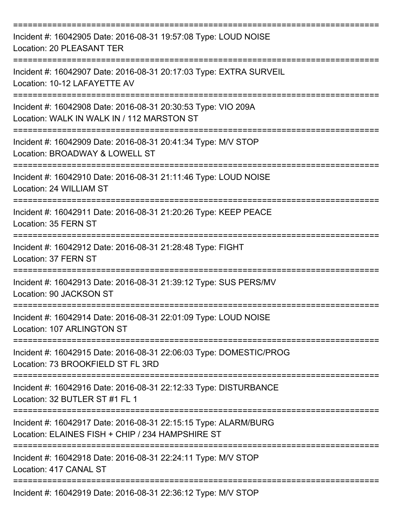| Incident #: 16042905 Date: 2016-08-31 19:57:08 Type: LOUD NOISE<br><b>Location: 20 PLEASANT TER</b><br>---------------------------------- |
|-------------------------------------------------------------------------------------------------------------------------------------------|
| Incident #: 16042907 Date: 2016-08-31 20:17:03 Type: EXTRA SURVEIL<br>Location: 10-12 LAFAYETTE AV                                        |
| Incident #: 16042908 Date: 2016-08-31 20:30:53 Type: VIO 209A<br>Location: WALK IN WALK IN / 112 MARSTON ST<br>:====================      |
| Incident #: 16042909 Date: 2016-08-31 20:41:34 Type: M/V STOP<br>Location: BROADWAY & LOWELL ST                                           |
| ==============================<br>Incident #: 16042910 Date: 2016-08-31 21:11:46 Type: LOUD NOISE<br>Location: 24 WILLIAM ST              |
| Incident #: 16042911 Date: 2016-08-31 21:20:26 Type: KEEP PEACE<br>Location: 35 FERN ST                                                   |
| Incident #: 16042912 Date: 2016-08-31 21:28:48 Type: FIGHT<br>Location: 37 FERN ST                                                        |
| Incident #: 16042913 Date: 2016-08-31 21:39:12 Type: SUS PERS/MV<br>Location: 90 JACKSON ST                                               |
| Incident #: 16042914 Date: 2016-08-31 22:01:09 Type: LOUD NOISE<br>Location: 107 ARLINGTON ST                                             |
| Incident #: 16042915 Date: 2016-08-31 22:06:03 Type: DOMESTIC/PROG<br>Location: 73 BROOKFIELD ST FL 3RD                                   |
| Incident #: 16042916 Date: 2016-08-31 22:12:33 Type: DISTURBANCE<br>Location: 32 BUTLER ST #1 FL 1                                        |
| Incident #: 16042917 Date: 2016-08-31 22:15:15 Type: ALARM/BURG<br>Location: ELAINES FISH + CHIP / 234 HAMPSHIRE ST                       |
| Incident #: 16042918 Date: 2016-08-31 22:24:11 Type: M/V STOP<br>Location: 417 CANAL ST                                                   |
| Incident #: 16042919 Date: 2016-08-31 22:36:12 Type: M/V STOP                                                                             |